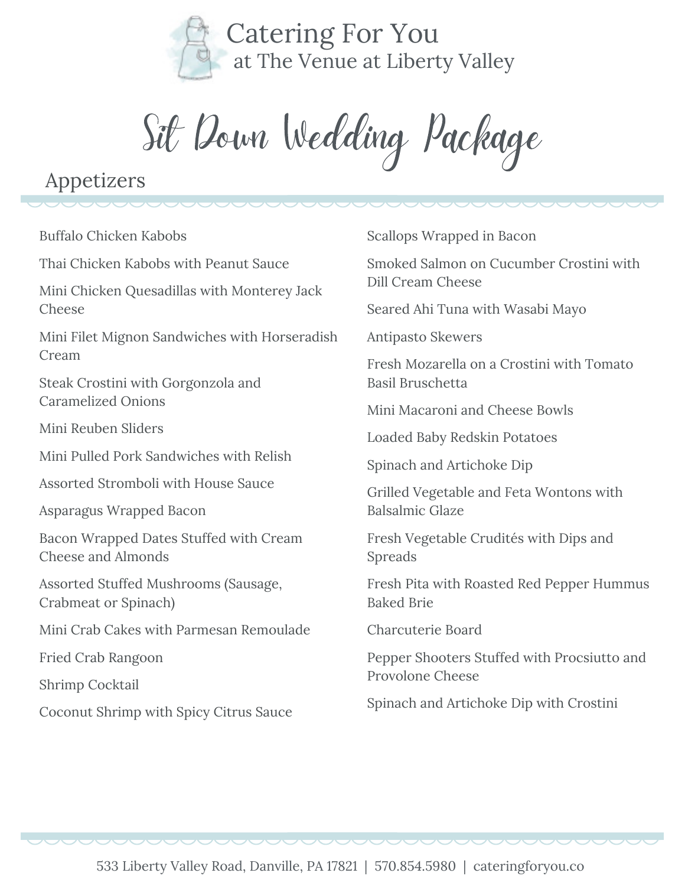

Sit Down Wedding Package

## Appetizers

Buffalo Chicken Kabobs

Thai Chicken Kabobs with Peanut Sauce

Mini Chicken Quesadillas with Monterey Jack Cheese

Mini Filet Mignon Sandwiches with Horseradish Cream

Steak Crostini with Gorgonzola and Caramelized Onions

Mini Reuben Sliders

Mini Pulled Pork Sandwiches with Relish

Assorted Stromboli with House Sauce

Asparagus Wrapped Bacon

Bacon Wrapped Dates Stuffed with Cream Cheese and Almonds

Assorted Stuffed Mushrooms (Sausage, Crabmeat or Spinach)

Mini Crab Cakes with Parmesan Remoulade

Fried Crab Rangoon

Shrimp Cocktail

Coconut Shrimp with Spicy Citrus Sauce

Scallops Wrapped in Bacon

Smoked Salmon on Cucumber Crostini with Dill Cream Cheese

Seared Ahi Tuna with Wasabi Mayo

Antipasto Skewers

Fresh Mozarella on a Crostini with Tomato Basil Bruschetta

Mini Macaroni and Cheese Bowls

Loaded Baby Redskin Potatoes

Spinach and Artichoke Dip

Grilled Vegetable and Feta Wontons with Balsalmic Glaze

Fresh Vegetable Crudités with Dips and Spreads

Fresh Pita with Roasted Red Pepper Hummus Baked Brie

Charcuterie Board

Pepper Shooters Stuffed with Procsiutto and Provolone Cheese

Spinach and Artichoke Dip with Crostini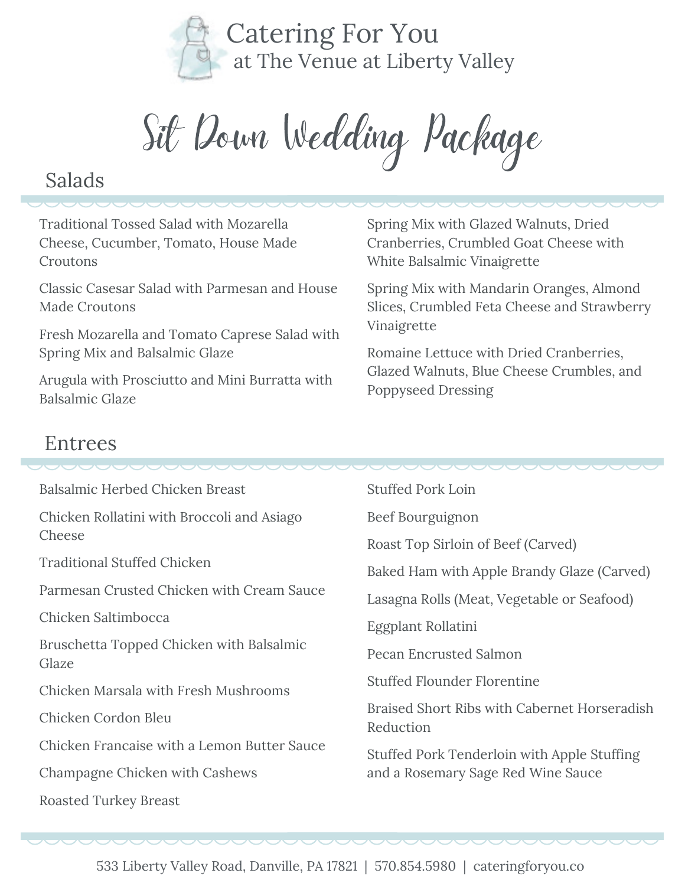

Sit Down Wedding Package

#### Salads

Traditional Tossed Salad with Mozarella Cheese, Cucumber, Tomato, House Made Croutons

Classic Casesar Salad with Parmesan and House Made Croutons

Fresh Mozarella and Tomato Caprese Salad with Spring Mix and Balsalmic Glaze

Arugula with Prosciutto and Mini Burratta with Balsalmic Glaze

Spring Mix with Glazed Walnuts, Dried Cranberries, Crumbled Goat Cheese with White Balsalmic Vinaigrette

Spring Mix with Mandarin Oranges, Almond Slices, Crumbled Feta Cheese and Strawberry Vinaigrette

Romaine Lettuce with Dried Cranberries, Glazed Walnuts, Blue Cheese Crumbles, and Poppyseed Dressing

#### Entrees

| Balsalmic Herbed Chicken Breast                   | <b>Stuffed Pork Loin</b>                                  |
|---------------------------------------------------|-----------------------------------------------------------|
| Chicken Rollatini with Broccoli and Asiago        | Beef Bourguignon                                          |
| Cheese                                            | Roast Top Sirloin of Beef (Carved)                        |
| <b>Traditional Stuffed Chicken</b>                | Baked Ham with Apple Brandy Glaze (Carved)                |
| Parmesan Crusted Chicken with Cream Sauce         | Lasagna Rolls (Meat, Vegetable or Seafood)                |
| Chicken Saltimbocca                               | Eggplant Rollatini                                        |
| Bruschetta Topped Chicken with Balsalmic<br>Glaze | <b>Pecan Encrusted Salmon</b>                             |
| Chicken Marsala with Fresh Mushrooms              | <b>Stuffed Flounder Florentine</b>                        |
| Chicken Cordon Bleu                               | Braised Short Ribs with Cabernet Horseradish<br>Reduction |
| Chicken Francaise with a Lemon Butter Sauce       | Stuffed Pork Tenderloin with Apple Stuffing               |
| Champagne Chicken with Cashews                    | and a Rosemary Sage Red Wine Sauce                        |
| <b>Roasted Turkey Breast</b>                      |                                                           |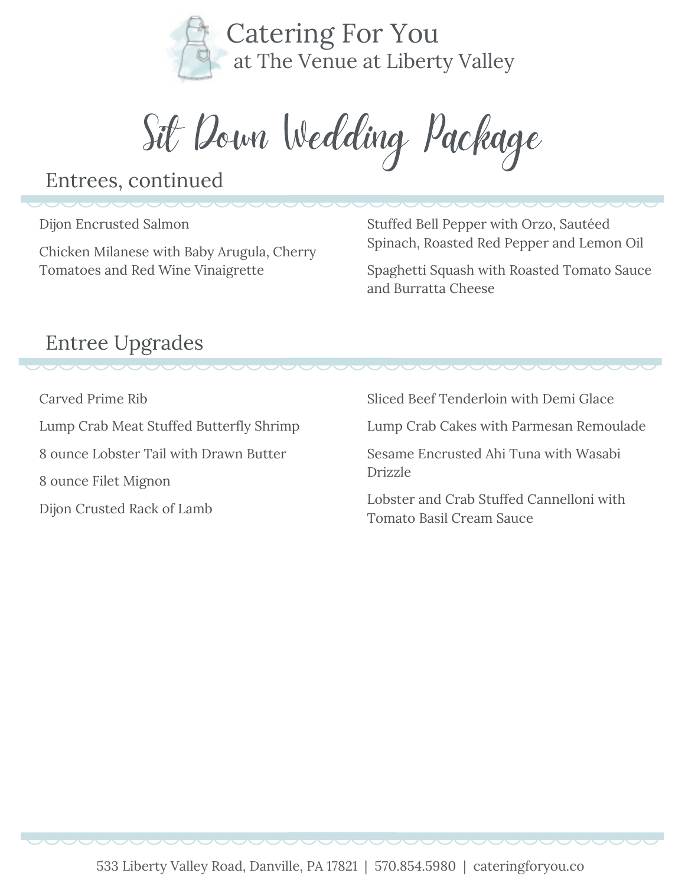

Sit Down Wedding Package

#### Entrees, continued

Dijon Encrusted Salmon

Chicken Milanese with Baby Arugula, Cherry Tomatoes and Red Wine Vinaigrette

Stuffed Bell Pepper with Orzo, Sautéed Spinach, Roasted Red Pepper and Lemon Oil

Spaghetti Squash with Roasted Tomato Sauce and Burratta Cheese

# Entree Upgrades

Carved Prime Rib

Lump Crab Meat Stuffed Butterfly Shrimp 8 ounce Lobster Tail with Drawn Butter 8 ounce Filet Mignon Dijon Crusted Rack of Lamb

Sliced Beef Tenderloin with Demi Glace

Lump Crab Cakes with Parmesan Remoulade

Sesame Encrusted Ahi Tuna with Wasabi Drizzle

Lobster and Crab Stuffed Cannelloni with Tomato Basil Cream Sauce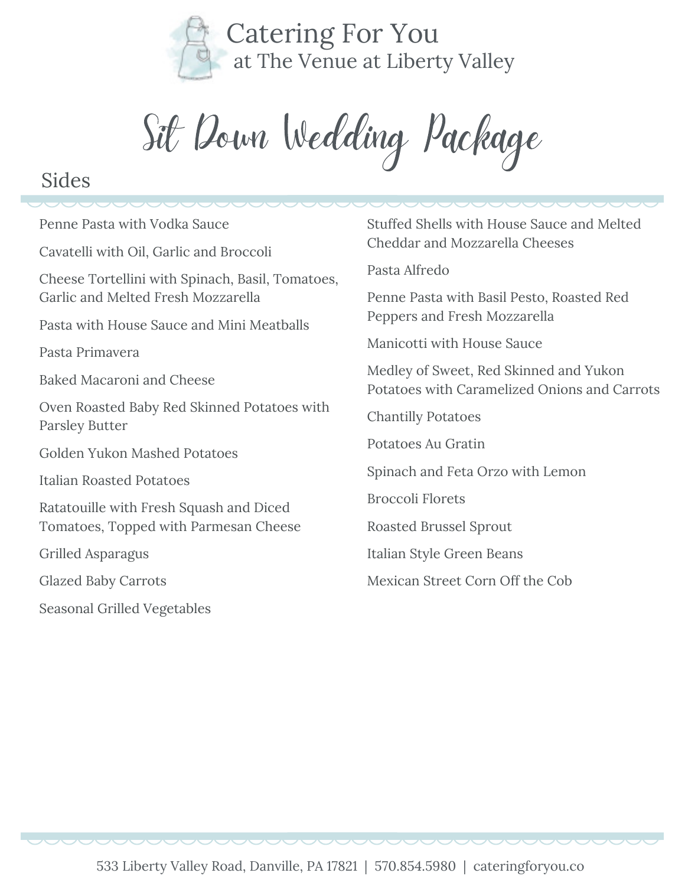

Sit Down Wedding Package

#### Sides

Penne Pasta with Vodka Sauce Cavatelli with Oil, Garlic and Broccoli Cheese Tortellini with Spinach, Basil, Tomatoes, Garlic and Melted Fresh Mozzarella Pasta with House Sauce and Mini Meatballs Pasta Primavera Baked Macaroni and Cheese Oven Roasted Baby Red Skinned Potatoes with Parsley Butter Golden Yukon Mashed Potatoes Italian Roasted Potatoes Ratatouille with Fresh Squash and Diced Tomatoes, Topped with Parmesan Cheese Grilled Asparagus Glazed Baby Carrots Seasonal Grilled Vegetables

Stuffed Shells with House Sauce and Melted Cheddar and Mozzarella Cheeses

Pasta Alfredo

Penne Pasta with Basil Pesto, Roasted Red Peppers and Fresh Mozzarella

Manicotti with House Sauce

Medley of Sweet, Red Skinned and Yukon Potatoes with Caramelized Onions and Carrots

Chantilly Potatoes

Potatoes Au Gratin

Spinach and Feta Orzo with Lemon

Broccoli Florets

Roasted Brussel Sprout

Italian Style Green Beans

Mexican Street Corn Off the Cob